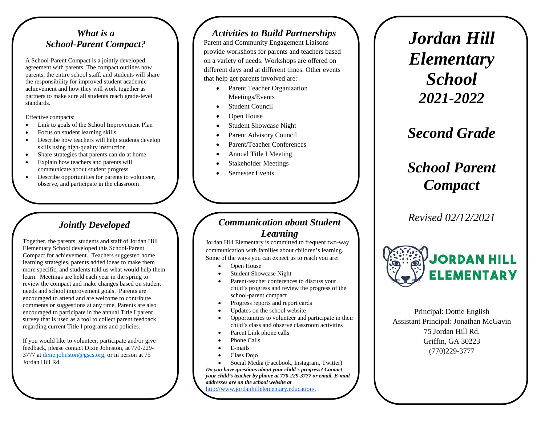#### *What is a School-Parent Compact?*

A School-Parent Compact is a jointly developed agreement with parents. The compact outlines how parents, the entire school staff, and students will share the responsibility for improved student academic achievement and how they will work together as partners to make sure all students reach grade-level standards.

Effective compacts:

- Link to goals of the School Improvement Plan
- Focus on student learning skills
- Describe how teachers will help students develop skills using high-quality instruction
- Share strategies that parents can do at home
- Explain how teachers and parents will communicate about student progress
- Describe opportunities for parents to volunteer, observe, and participate in the classroom

## *Jointly Developed*

Together, the parents, students and staff of Jordan Hill Elementary School developed this School-Parent Compact for achievement. Teachers suggested home learning strategies, parents added ideas to make them more specific, and students told us what would help them learn. Meetings are held each year in the spring to review the compact and make changes based on student needs and school improvement goals. Parents are encouraged to attend and are welcome to contribute comments or suggestions at any time. Parents are also encouraged to participate in the annual Title I parent survey that is used as a tool to collect parent feedback regarding current Title I programs and policies.

If you would like to volunteer, participate and/or give feedback, please contact Dixie Johnston, at 770-229- 3777 at [dixie.johnston@gscs.org,](mailto:dixie.johnston@gscs.org) or in person at 75 Jordan Hill Rd.

#### *Activities to Build Partnerships*

Parent and Community Engagement Liaisons provide workshops for parents and teachers based on a variety of needs. Workshops are offered on different days and at different times. Other events that help get parents involved are:

- Parent Teacher Organization Meetings/Events
- **Student Council**
- Open House
- Student Showcase Night
- Parent Advisory Council
- Parent/Teacher Conferences
- Annual Title I Meeting
- Stakeholder Meetings
- Semester Events

#### *Communication about Student Learning*

Jordan Hill Elementary is committed to frequent two-way communication with families about children's learning. Some of the ways you can expect us to reach you are:

- Open House
- Student Showcase Night
- Parent-teacher conferences to discuss your child's progress and review the progress of the school-parent compact
- Progress reports and report cards
- Updates on the school website
- Opportunities to volunteer and participate in their child's class and observe classroom activities
- Parent Link phone calls
- Phone Calls
- E-mails
- Class Dojo
- Social Media (Facebook, Instagram, Twitter)

*Do you have questions about your child's progress? Contact your child's teacher by phone at 770-229-3777 or email. E-mail addresses are on the school website at* 

[http://www.jordanhillelementary.education/.](http://www.jordanhillelementary.education/)

*Jordan Hill Elementary School 2021-2022*

*Second Grade*

# *School Parent Compact*

*Revised 02/12/2021*



Principal: Dottie English Assistant Principal: Jonathan McGavin 75 Jordan Hill Rd. Griffin, GA 30223 (770)229-3777